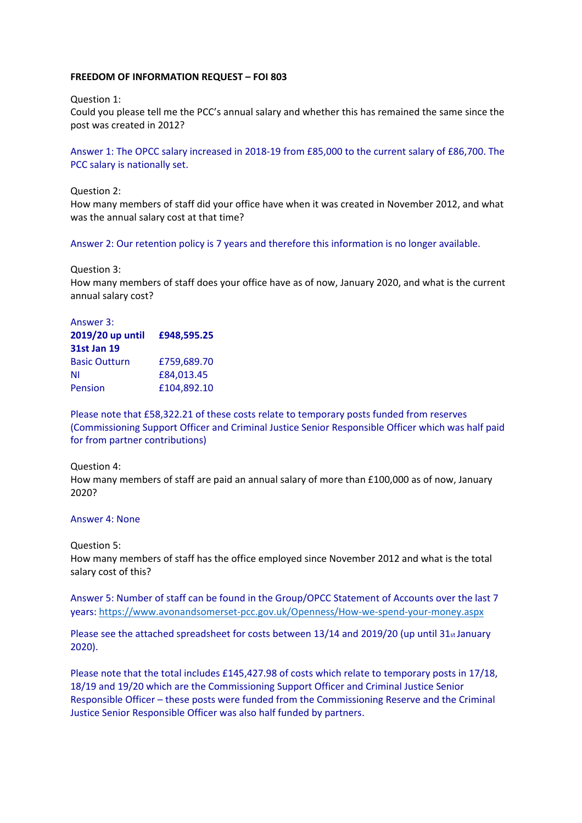## **FREEDOM OF INFORMATION REQUEST – FOI 803**

Question 1:

Could you please tell me the PCC's annual salary and whether this has remained the same since the post was created in 2012?

Answer 1: The OPCC salary increased in 2018‐19 from £85,000 to the current salary of £86,700. The PCC salary is nationally set.

Question 2:

How many members of staff did your office have when it was created in November 2012, and what was the annual salary cost at that time?

Answer 2: Our retention policy is 7 years and therefore this information is no longer available.

Question 3:

How many members of staff does your office have as of now, January 2020, and what is the current annual salary cost?

## Answer 3: **2019/20 up until 31st Jan 19 £948,595.25**  Basic Outturn £759,689.70 NI £84,013.45 Pension £104,892.10

Please note that £58,322.21 of these costs relate to temporary posts funded from reserves (Commissioning Support Officer and Criminal Justice Senior Responsible Officer which was half paid for from partner contributions)

## Question 4:

How many members of staff are paid an annual salary of more than £100,000 as of now, January 2020?

## Answer 4: None

Question 5:

How many members of staff has the office employed since November 2012 and what is the total salary cost of this?

Answer 5: Number of staff can be found in the Group/OPCC Statement of Accounts over the last 7 years: https://www.avonandsomerset-pcc.gov.uk/Openness/How-we-spend-your-money.aspx

Please see the attached spreadsheet for costs between 13/14 and 2019/20 (up until 31st January 2020).

Please note that the total includes £145,427.98 of costs which relate to temporary posts in 17/18, 18/19 and 19/20 which are the Commissioning Support Officer and Criminal Justice Senior Responsible Officer – these posts were funded from the Commissioning Reserve and the Criminal Justice Senior Responsible Officer was also half funded by partners.